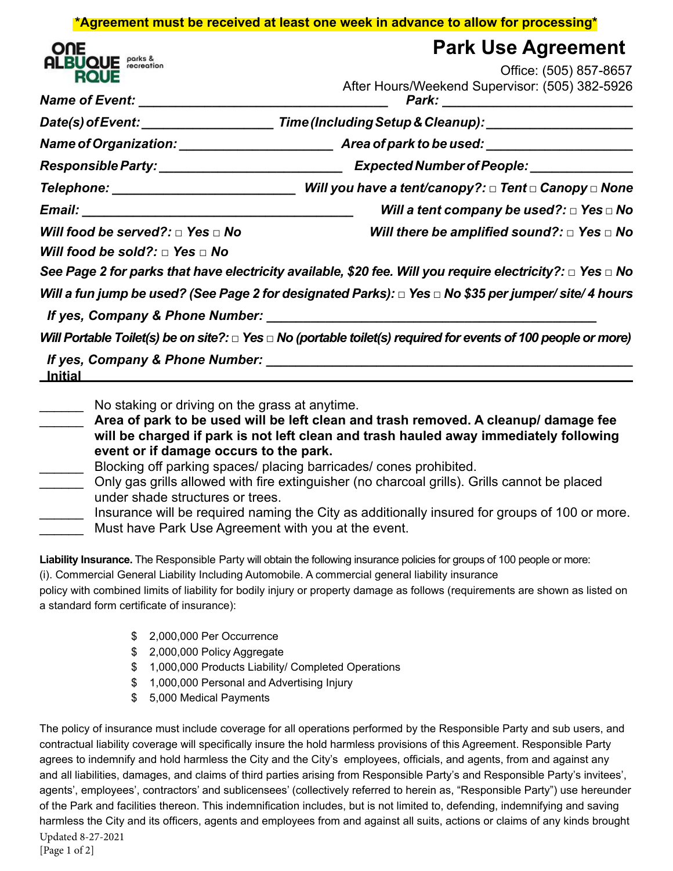## **\*Agreement must be received at least one week in advance to allow for processing\***

| ОПЕ<br>IOLIE<br>ОІ | parks &<br>recreation |
|--------------------|-----------------------|
|--------------------|-----------------------|

|                                                                                     | <b>Park Use Agreement</b>                                                                                                |  |  |
|-------------------------------------------------------------------------------------|--------------------------------------------------------------------------------------------------------------------------|--|--|
| <b>BUQUE</b> <i>parks</i> &<br><b>ROUE</b>                                          | Office: (505) 857-8657                                                                                                   |  |  |
| Name of Event: __________________________                                           | After Hours/Weekend Supervisor: (505) 382-5926                                                                           |  |  |
| Date(s) of Event:                                                                   | Time (Including Setup & Cleanup): _____________________                                                                  |  |  |
|                                                                                     |                                                                                                                          |  |  |
| Responsible Party: __________________________                                       | Expected Number of People: _____________                                                                                 |  |  |
| Telephone: www.astronomia.com                                                       | Will you have a tent/canopy?: □ Tent □ Canopy □ None                                                                     |  |  |
|                                                                                     | Will a tent company be used?: $\Box$ Yes $\Box$ No                                                                       |  |  |
| Will food be served?: $\Box$ Yes $\Box$ No                                          | Will there be amplified sound?: $\Box$ Yes $\Box$ No                                                                     |  |  |
| Will food be sold?: $\Box$ Yes $\Box$ No                                            |                                                                                                                          |  |  |
|                                                                                     | See Page 2 for parks that have electricity available, \$20 fee. Will you require electricity?: $\Box$ Yes $\Box$ No      |  |  |
|                                                                                     | Will a fun jump be used? (See Page 2 for designated Parks): $\Box$ Yes $\Box$ No \$35 per jumper/site/ 4 hours           |  |  |
| If yes, Company & Phone Number: Manual Assembly Property Assembly Property Assembly |                                                                                                                          |  |  |
|                                                                                     | Will Portable Toilet(s) be on site?: $\Box$ Yes $\Box$ No (portable toilet(s) required for events of 100 people or more) |  |  |
| <u> Initial</u>                                                                     |                                                                                                                          |  |  |

No staking or driving on the grass at anytime.

\_\_\_\_\_\_ **Area of park to be used will be left clean and trash removed. A cleanup/ damage fee will be charged if park is not left clean and trash hauled away immediately following event or if damage occurs to the park.**

Blocking off parking spaces/ placing barricades/ cones prohibited.

Only gas grills allowed with fire extinguisher (no charcoal grills). Grills cannot be placed under shade structures or trees.

| Insurance will be required naming the City as additionally insured for groups of 100 or more. |
|-----------------------------------------------------------------------------------------------|
| Must have Park Use Agreement with you at the event.                                           |

**Liability Insurance.** The Responsible Party will obtain the following insurance policies for groups of 100 people or more: (i). Commercial General Liability Including Automobile. A commercial general liability insurance policy with combined limits of liability for bodily injury or property damage as follows (requirements are shown as listed on

a standard form certificate of insurance):

- \$ 2,000,000 Per Occurrence
- \$ 2,000,000 Policy Aggregate
- \$ 1,000,000 Products Liability/ Completed Operations
- \$ 1,000,000 Personal and Advertising Injury
- \$ 5,000 Medical Payments

The policy of insurance must include coverage for all operations performed by the Responsible Party and sub users, and contractual liability coverage will specifically insure the hold harmless provisions of this Agreement. Responsible Party agrees to indemnify and hold harmless the City and the City's employees, officials, and agents, from and against any and all liabilities, damages, and claims of third parties arising from Responsible Party's and Responsible Party's invitees', agents', employees', contractors' and sublicensees' (collectively referred to herein as, "Responsible Party") use hereunder of the Park and facilities thereon. This indemnification includes, but is not limited to, defending, indemnifying and saving harmless the City and its officers, agents and employees from and against all suits, actions or claims of any kinds brought Updated 8-27-2021 [Page 1 of 2]